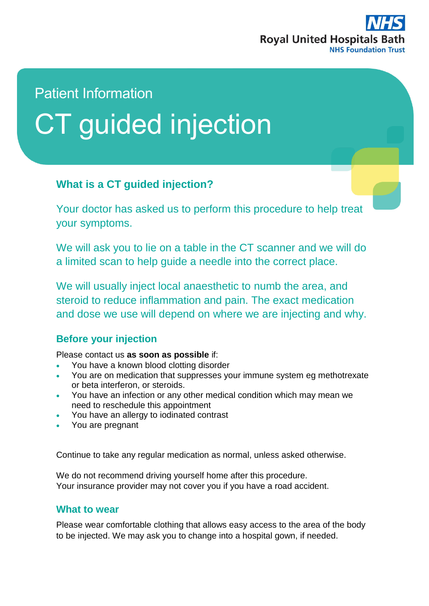

# Patient Information CT guided injection

## **What is a CT guided injection?**

Your doctor has asked us to perform this procedure to help treat your symptoms.

We will ask you to lie on a table in the CT scanner and we will do a limited scan to help guide a needle into the correct place.

We will usually inject local anaesthetic to numb the area, and steroid to reduce inflammation and pain. The exact medication and dose we use will depend on where we are injecting and why.

#### **Before your injection**

Please contact us **as soon as possible** if:

- You have a known blood clotting disorder
- You are on medication that suppresses your immune system eg methotrexate or beta interferon, or steroids.
- You have an infection or any other medical condition which may mean we need to reschedule this appointment
- You have an allergy to iodinated contrast
- You are pregnant

Continue to take any regular medication as normal, unless asked otherwise.

We do not recommend driving yourself home after this procedure. Your insurance provider may not cover you if you have a road accident.

#### **What to wear**

Please wear comfortable clothing that allows easy access to the area of the body to be injected. We may ask you to change into a hospital gown, if needed.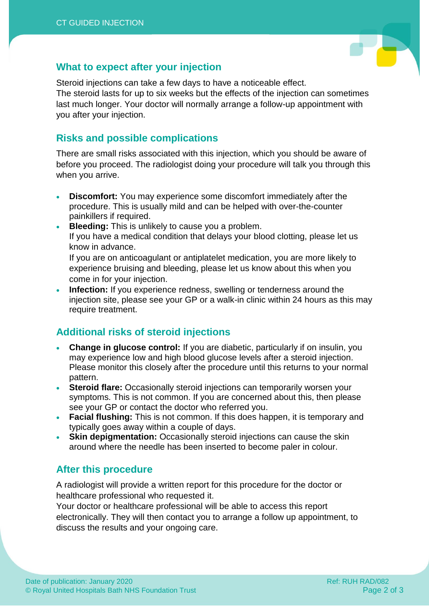

#### **What to expect after your injection**

Steroid injections can take a few days to have a noticeable effect.

The steroid lasts for up to six weeks but the effects of the injection can sometimes last much longer. Your doctor will normally arrange a follow-up appointment with you after your injection.

#### **Risks and possible complications**

There are small risks associated with this injection, which you should be aware of before you proceed. The radiologist doing your procedure will talk you through this when you arrive.

- **Discomfort:** You may experience some discomfort immediately after the procedure. This is usually mild and can be helped with over-the-counter painkillers if required.
- **Bleeding:** This is unlikely to cause you a problem. If you have a medical condition that delays your blood clotting, please let us know in advance.

If you are on anticoagulant or antiplatelet medication, you are more likely to experience bruising and bleeding, please let us know about this when you come in for your injection.

 **Infection:** If you experience redness, swelling or tenderness around the injection site, please see your GP or a walk-in clinic within 24 hours as this may require treatment.

## **Additional risks of steroid injections**

- **Change in glucose control:** If you are diabetic, particularly if on insulin, you may experience low and high blood glucose levels after a steroid injection. Please monitor this closely after the procedure until this returns to your normal pattern.
- **Steroid flare:** Occasionally steroid injections can temporarily worsen your symptoms. This is not common. If you are concerned about this, then please see your GP or contact the doctor who referred you.
- **Facial flushing:** This is not common. If this does happen, it is temporary and typically goes away within a couple of days.
- **Skin depigmentation:** Occasionally steroid injections can cause the skin around where the needle has been inserted to become paler in colour.

### **After this procedure**

A radiologist will provide a written report for this procedure for the doctor or healthcare professional who requested it.

Your doctor or healthcare professional will be able to access this report electronically. They will then contact you to arrange a follow up appointment, to discuss the results and your ongoing care.